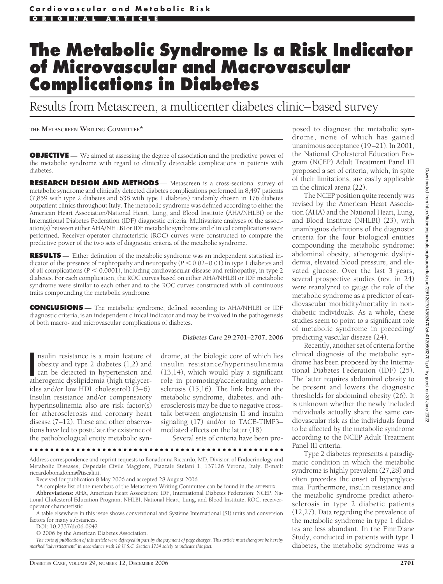# **The Metabolic Syndrome Is a Risk Indicator of Microvascular and Macrovascular Complications in Diabetes**

Results from Metascreen, a multicenter diabetes clinic–based survey

## **THE METASCREEN WRITING COMMITTEE\***

**OBJECTIVE** — We aimed at assessing the degree of association and the predictive power of the metabolic syndrome with regard to clinically detectable complications in patients with diabetes.

**RESEARCH DESIGN AND METHODS** — Metascreen is a cross-sectional survey of metabolic syndrome and clinically detected diabetes complications performed in 8,497 patients (7,859 with type 2 diabetes and 638 with type 1 diabetes) randomly chosen in 176 diabetes outpatient clinics throughout Italy. The metabolic syndrome was defined according to either the American Heart Association/National Heart, Lung, and Blood Institute (AHA/NHLBI) or the International Diabetes Federation (IDF) diagnostic criteria. Multivariate analyses of the association(s) between either AHA/NHLBI or IDF metabolic syndrome and clinical complications were performed. Receiver-operator characteristic (ROC) curves were constructed to compare the predictive power of the two sets of diagnostic criteria of the metabolic syndrome.

**RESULTS** — Either definition of the metabolic syndrome was an independent statistical indicator of the presence of nephropathy and neuropathy ( $P < 0.02-0.01$ ) in type 1 diabetes and of all complications  $(P < 0.0001)$ , including cardiovascular disease and retinopathy, in type 2 diabetes. For each complication, the ROC curves based on either AHA/NHLBI or IDF metabolic syndrome were similar to each other and to the ROC curves constructed with all continuous traits compounding the metabolic syndrome.

**CONCLUSIONS** — The metabolic syndrome, defined according to AHA/NHLBI or IDF diagnostic criteria, is an independent clinical indicator and may be involved in the pathogenesis of both macro- and microvascular complications of diabetes.

#### *Diabetes Care* **29:2701–2707, 2006**

nsulin resistance is a main feature of obesity and type 2 diabetes (1,2) and can be detected in hypertension and atherogenic dyslipidemia (high triglycernsulin resistance is a main feature of obesity and type 2 diabetes (1,2) and can be detected in hypertension and ides and/or low HDL cholesterol) (3–6). Insulin resistance and/or compensatory hyperinsulinemia also are risk factor(s) for atherosclerosis and coronary heart disease (7–12). These and other observations have led to postulate the existence of the pathobiological entity metabolic syndrome, at the biologic core of which lies insulin resistance/hyperinsulinemia (13,14), which would play a significant role in promoting/accelerating atherosclerosis (15,16). The link between the metabolic syndrome, diabetes, and atherosclerosis may be due to negative crosstalk between angiotensin II and insulin signaling (17) and/or to TACE-TIMP3– mediated effects on the latter (18).

Several sets of criteria have been pro-

#### ●●●●●●●●●●●●●●●●●●●●●●●●●●●●●●●●●●●●●●●●●●●●●●●●●

Address correspondence and reprint requests to Bonadonna Riccardo, MD, Division of Endocrinology and Metabolic Diseases, Ospedale Civile Maggiore, Piazzale Stefani 1, 137126 Verona, Italy. E-mail: riccardobonadonna@tiscali.it.

Received for publication 8 May 2006 and accepted 28 August 2006.

\*A complete list of the members of the Metascreen Writing Committee can be found in the APPENDIX.

**Abbreviations:** AHA, American Heart Association; IDF, International Diabetes Federation; NCEP, National Cholesterol Education Program; NHLBI, National Heart, Lung, and Blood Institute; ROC, receiveroperator characteristic.

A table elsewhere in this issue shows conventional and Système International (SI) units and conversion factors for many substances.

DOI: 10.2337/dc06-0942

© 2006 by the American Diabetes Association.

*The costs of publication of this article were defrayed in part by the payment of page charges. This article must therefore be hereby marked "advertisement" in accordance with 18 U.S.C. Section 1734 solely to indicate this fact.*

posed to diagnose the metabolic syndrome, none of which has gained unanimous acceptance (19–21). In 2001, the National Cholesterol Education Program (NCEP) Adult Treatment Panel III proposed a set of criteria, which, in spite of their limitations, are easily applicable in the clinical arena (22).

The NCEP position quite recently was revised by the American Heart Association (AHA) and the National Heart, Lung, and Blood Institute (NHLBI) (23), with unambiguos definitions of the diagnostic criteria for the four biological entities compounding the metabolic syndrome: abdominal obesity, atherogenic dyslipidemia, elevated blood pressure, and elevated glucose. Over the last 3 years, several prospective studies (rev. in 24) were reanalyzed to gauge the role of the metabolic syndrome as a predictor of cardiovascular morbidity/mortality in nondiabetic individuals. As a whole, these studies seem to point to a significant role of metabolic syndrome in preceding/ predicting vascular disease (24).

Recently, another set of criteria for the clinical diagnosis of the metabolic syndrome has been proposed by the International Diabetes Federation (IDF) (25). The latter requires abdominal obesity to be present and lowers the diagnostic thresholds for abdominal obesity (26). It is unknown whether the newly included individuals actually share the same cardiovascular risk as the individuals found to be affected by the metabolic syndrome according to the NCEP Adult Treatment Panel III criteria.

Type 2 diabetes represents a paradigmatic condition in which the metabolic syndrome is highly prevalent (27,28) and often precedes the onset of hyperglycemia. Furthermore, insulin resistance and the metabolic syndrome predict atherosclerosis in type 2 diabetic patients (12,27). Data regarding the prevalence of the metabolic syndrome in type 1 diabetes are less abundant. In the FinnDiane Study, conducted in patients with type 1 diabetes, the metabolic syndrome was a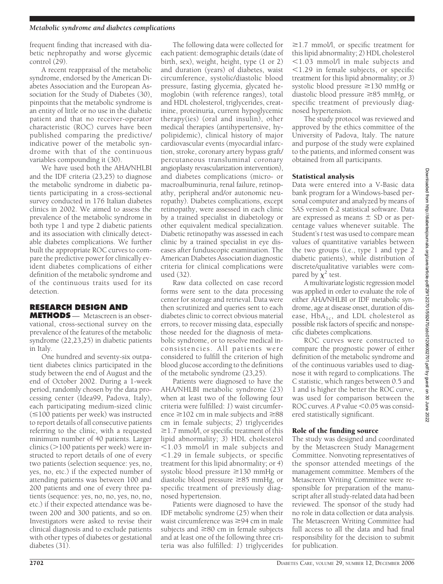#### *Metabolic syndrome and diabetes complications*

frequent finding that increased with diabetic nephropathy and worse glycemic control (29).

A recent reappraisal of the metabolic syndrome, endorsed by the American Diabetes Association and the European Association for the Study of Diabetes (30), pinpoints that the metabolic syndrome is an entity of little or no use in the diabetic patient and that no receiver-operator characteristic (ROC) curves have been published comparing the predictive/ indicative power of the metabolic syndrome with that of the continuous variables compounding it (30).

We have used both the AHA/NHLBI and the IDF criteria (23,25) to diagnose the metabolic syndrome in diabetic patients participating in a cross-sectional survey conducted in 176 Italian diabetes clinics in 2002. We aimed to assess the prevalence of the metabolic syndrome in both type 1 and type 2 diabetic patients and its association with clinically detectable diabetes complications. We further built the appropriate ROC curves to compare the predictive power for clinically evident diabetes complications of either definition of the metabolic syndrome and of the continuous traits used for its detection.

# **RESEARCH DESIGN AND**

**METHODS** — Metascreen is an observational, cross-sectional survey on the prevalence of the features of the metabolic syndrome (22,23,25) in diabetic patients in Italy.

One hundred and seventy-six outpatient diabetes clinics participated in the study between the end of August and the end of October 2002. During a 1-week period, randomly chosen by the data processing center (Idea99, Padova, Italy), each participating medium-sized clinic  $(\leq 100$  patients per week) was instructed to report details of all consecutive patients referring to the clinic, with a requested minimum number of 40 patients. Larger clinics (>100 patients per week) were instructed to report details of one of every two patients (selection sequence: yes, no, yes, no, etc.) if the expected number of attending patients was between 100 and 200 patients and one of every three patients (sequence: yes, no, no, yes, no, no, etc.) if their expected attendance was between 200 and 300 patients, and so on. Investigators were asked to revise their clinical diagnosis and to exclude patients with other types of diabetes or gestational diabetes (31).

The following data were collected for each patient: demographic details (date of birth, sex), weight, height, type (1 or 2) and duration (years) of diabetes, waist circumference, systolic/diastolic blood pressure, fasting glycemia, glycated hemoglobin (with reference ranges), total and HDL cholesterol, triglycerides, creatinine, proteinuria, current hypoglycemic therapy(ies) (oral and insulin), other medical therapies (antihypertensive, hypolipidemic), clinical history of major cardiovascular events (myocardial infarction, stroke, coronary artery bypass graft/ percutaneous transluminal coronary angioplasty revascularization intervention), and diabetes complications (micro- or macroalbuminuria, renal failure, retinopathy, peripheral and/or autonomic neuropathy). Diabetes complications, except retinopathy, were assessed in each clinic by a trained specialist in diabetology or other equivalent medical specialization. Diabetic retinopathy was assessed in each clinic by a trained specialist in eye diseases after funduscopic examination. The American Diabetes Association diagnostic criteria for clinical complications were used (32).

Raw data collected on case record forms were sent to the data processing center for storage and retrieval. Data were then scrutinized and queries sent to each diabetes clinic to correct obvious material errors, to recover missing data, especially those needed for the diagnosis of metabolic syndrome, or to resolve medical inconsistencies. All patients were considered to fulfill the criterion of high blood glucose according to the definitions of the metabolic syndrome (23,25).

Patients were diagnosed to have the AHA/NHLBI metabolic syndrome (23) when at least two of the following four criteria were fulfilled: *1*) waist circumference  $\geq$ 102 cm in male subjects and  $\geq$ 88 cm in female subjects; *2*) triglycerides ≥1.7 mmol/l, or specific treatment of this lipid abnormality; *3*) HDL cholesterol  $1.03$  mmol/l in male subjects and  $1.29$  in female subjects, or specific treatment for this lipid abnormality; or *4*) systolic blood pressure ≥130 mmHg or diastolic blood pressure ≥85 mmHg, or specific treatment of previously diagnosed hypertension.

Patients were diagnosed to have the IDF metabolic syndrome (25) when their waist circumference was  $\geq$ 94 cm in male subjects and  $\geq 80$  cm in female subjects and at least one of the following three criteria was also fulfilled: *1*) triglycerides

-1.7 mmol/l, or specific treatment for this lipid abnormality; *2*) HDL cholesterol 1.03 mmol/l in male subjects and  $1.29$  in female subjects, or specific treatment for this lipid abnormality; or *3*) systolic blood pressure  $\geq$ 130 mmHg or diastolic blood pressure ≥85 mmHg, or specific treatment of previously diagnosed hypertension.

The study protocol was reviewed and approved by the ethics committee of the University of Padova, Italy. The nature and purpose of the study were explained to the patients, and informed consent was obtained from all participants.

## Statistical analysis

Data were entered into a V-Basic data bank program for a Windows-based personal computer and analyzed by means of SAS version 6.2 statistical software. Data are expressed as means  $\pm$  SD or as percentage values whenever suitable. The Student's*t* test was used to compare mean values of quantitative variables between the two groups (i.e., type 1 and type 2 diabetic patients), while distribution of discrete/qualitative variables were compared by  $\chi^2$  test.

A multivariate logistic regression model was applied in order to evaluate the role of either AHA/NHLBI or IDF metabolic syndrome, age at disease onset, duration of disease,  $HbA_{1c}$ , and LDL cholesterol as possible risk factors of specific and nonspecific diabetes complications.

ROC curves were constructed to compare the prognostic power of either definition of the metabolic syndrome and of the continuous variables used to diagnose it with regard to complications. The C statistic, which ranges between 0.5 and 1 and is higher the better the ROC curve, was used for comparison between the ROC curves.  $A$  P value  $\leq 0.05$  was considered statistically significant.

# Role of the funding source

The study was designed and coordinated by the Metascreen Study Management Committee. Nonvoting representatives of the sponsor attended meetings of the management committee. Members of the Metascreen Writing Committee were responsible for preparation of the manuscript after all study-related data had been reviewed. The sponsor of the study had no role in data collection or data analysis. The Metascreen Writing Committee had full access to all the data and had final responsibility for the decision to submit for publication.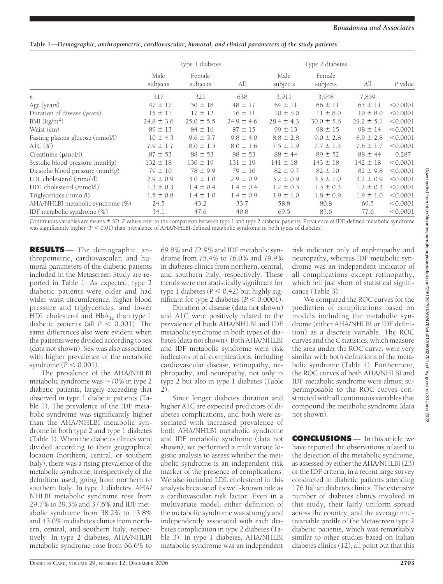# **Table 1—***Demographic, anthropometric, cardiovascular, humoral, and clinical parameters of the study patients*

|                                  | Type 1 diabetes  |                    |                | Type 2 diabetes  |                    |                |          |
|----------------------------------|------------------|--------------------|----------------|------------------|--------------------|----------------|----------|
|                                  | Male<br>subjects | Female<br>subjects | All            | Male<br>subjects | Female<br>subjects | All            | P value  |
| n                                | 317              | 321                | 638            | 3,911            | 3,948              | 7,859          |          |
| Age (years)                      | $47 \pm 17$      | $50 \pm 18$        | $48 \pm 17$    | $64 \pm 11$      | $66 \pm 11$        | $65 \pm 11$    | < 0.0001 |
| Duration of disease (years)      | $15 \pm 11$      | $17 \pm 12$        | $16 \pm 11$    | $10 \pm 8.0$     | $11 \pm 8.0$       | $10 \pm 8.0$   | < 0.0001 |
| BMI $(kg/m2)$                    | $24.8 \pm 3.6$   | $25.0 \pm 5.5$     | $24.9 \pm 4.6$ | $28.4 \pm 4.3$   | $30.0 \pm 5.6$     | $29.2 \pm 5.1$ | < 0.0001 |
| Waist (cm)                       | $89 \pm 13$      | $84 \pm 16$        | $87 \pm 15$    | $99 \pm 13$      | $98 \pm 15$        | $98 \pm 14$    | < 0.0001 |
| Fasting plasma glucose (mmol/l)  | $10 \pm 4.3$     | $9.6 \pm 3.7$      | $9.8 \pm 4.0$  | $8.8 \pm 2.8$    | $9.0 \pm 2.8$      | $8.9 \pm 2.8$  | < 0.0001 |
| $AIC(\%)$                        | $7.9 \pm 1.7$    | $8.0 \pm 1.5$      | $8.0 \pm 1.6$  | $7.5 \pm 1.9$    | $7.7 \pm 1.5$      | $7.6 \pm 1.7$  | < 0.0001 |
| Creatinine $(\mu \text{mol/l})$  | $87 \pm 53$      | $88 \pm 53$        | $88 \pm 53$    | $88 \pm 44$      | $89 \pm 52$        | $88 \pm 44$    | 0.287    |
| Systolic blood pressure (mmHg)   | $132 \pm 18$     | $130 \pm 19$       | $131 \pm 19$   | $141 \pm 18$     | $143 \pm 18$       | $142 \pm 18$   | < 0.0001 |
| Diastolic blood pressure (mmHg)  | $79 \pm 10$      | $78 \pm 9.9$       | $79 \pm 10$    | $82 \pm 9.7$     | $82 \pm 10$        | $82 \pm 9.8$   | < 0.0001 |
| LDL cholesterol (mmol/l)         | $2.9 \pm 0.9$    | $3.0 \pm 1.0$      | $2.9 \pm 0.9$  | $3.2 \pm 0.9$    | $3.3 \pm 1.0$      | $3.2 \pm 0.9$  | < 0.0001 |
| HDL cholesterol (mmol/l)         | $1.3 \pm 0.3$    | $1.4 \pm 0.4$      | $1.4 \pm 0.4$  | $1.2 \pm 0.3$    | $1.3 \pm 0.3$      | $1.2 \pm 0.3$  | < 0.0001 |
| Triglycerides (mmol/l)           | $1.5 \pm 0.8$    | $1.4 \pm 1.0$      | $1.4 \pm 0.9$  | $1.9 \pm 1.0$    | $1.8 \pm 0.9$      | $1.9 \pm 1.0$  | < 0.0001 |
| AHA/NHLBI metabolic syndrome (%) | 24.5             | 43.2               | 33.7           | 58.8             | 80.8               | 69.5           | < 0.0001 |
| IDF metabolic syndrome (%)       | 34.1             | 47.6               | 40.8           | 69.5             | 85.6               | 77.6           | < 0.0001 |

Continuous variables are means  $\pm$  SD. P values refer to the comparison between type 1 and type 2 diabetic patients. Prevalence of IDF-defined metabolic syndrome was significantly higher ( $P < 0.01$ ) than prevalence of AHA/NHLBI-defined metabolic syndrome in both types of diabetes.

**RESULTS** — The demographic, anthropometric, cardiovascular, and humoral parameters of the diabetic patients included in the Metascreen Study are reported in Table 1. As expected, type 2 diabetic patients were older and had wider waist circumference, higher blood pressure and triglycerides, and lower HDL cholesterol and  $HbA_{1c}$  than type 1 diabetic patients (all  $P < 0.001$ ). The same differences also were evident when the patients were divided according to sex (data not shown). Sex was also associated with higher prevalence of the metabolic syndrome  $(P < 0.001)$ .

The prevalence of the AHA/NHLBI metabolic syndrome was  $\sim$  70% in type 2 diabetic patients, largely exceeding that observed in type 1 diabetic patients (Table 1). The prevalence of the IDF metabolic syndrome was significantly higher than the AHA/NHLBI metabolic syndrome in both type 2 and type 1 diabetes (Table 1). When the diabetes clinics were divided according to their geographical location (northern, central, or southern Italy), there was a rising prevalence of the metabolic syndrome, irrespectively of the definition used, going from northern to southern Italy. In type 1 diabetes, AHA/ NHLBI metabolic syndrome rose from 29.7% to 39.3% and 37.6% and IDF metabolic syndrome from 38.2% to 43.8% and 43.0% in diabetes clinics from northern, central, and southern Italy, respectively. In type 2 diabetes, AHA/NHLBI metabolic syndrome rose from 66.6% to

69.8% and 72.9% and IDF metabolic syndrome from 75.4% to 76.0% and 79.9% in diabetes clinics from northern, central, and southern Italy, respectively. These trends were not statistically significant for type 1 diabetes  $(P < 0.42)$  but highly significant for type 2 diabetes  $(P < 0.0001)$ .

Duration of disease (data not shown) and A1C were positively related to the prevalence of both AHA/NHLBI and IDF metabolic syndrome in both types of diabetes (data not shown). Both AHA/NHLBI and IDF metabolic syndrome were risk indicators of all complications, including cardiovascular disease, retinopathy, nephropathy, and neuropathy, not only in type 2 but also in type 1 diabetes (Table 2).

Since longer diabetes duration and higher A1C are expected predictors of diabetes complications, and both were associated with increased prevalence of both AHA/NHLBI metabolic syndrome and IDF metabolic syndrome (data not shown), we performed a multivariate logistic analysis to assess whether the metabolic syndrome is an independent risk marker of the presence of complications. We also included LDL cholesterol in this analysis because of its well-known role as a cardiovascular risk factor. Even in a multivariate model, either definition of the metabolic syndrome was strongly and independently associated with each diabetes complication in type 2 diabetes (Table 3). In type 1 diabetes, AHA/NHLBI metabolic syndrome was an independent

risk indicator only of nephropathy and neuropathy, whereas IDF metabolic syndrome was an independent indicator of all complications except retinopathy, which fell just short of statistical significance (Table 3).

We compared the ROC curves for the prediction of complications based on models including the metabolic syndrome (either AHA/NHLBI or IDF definition) as a discrete variable. The ROC curves and the C statistics, which measure the area under the ROC curve, were very similar with both definitions of the metabolic syndrome (Table 4). Furthermore, the ROC curves of both AHA/NHLBI and IDF metabolic syndrome were almost superimposable to the ROC curves constructed with all continuous variables that compound the metabolic syndrome (data not shown).

**CONCLUSIONS** — In this article, we have reported the observations related to the detection of the metabolic syndrome, as assessed by either the AHA/NHLBI (23) or the IDF criteria, in a recent large survey conducted in diabetic patients attending 176 Italian diabetes clinics. The extensive number of diabetes clinics involved in this study, their fairly uniform spread across the country, and the average multivariable profile of the Metascreen type 2 diabetic patients, which was remarkably similar to other studies based on Italian diabetes clinics (12), all point out that this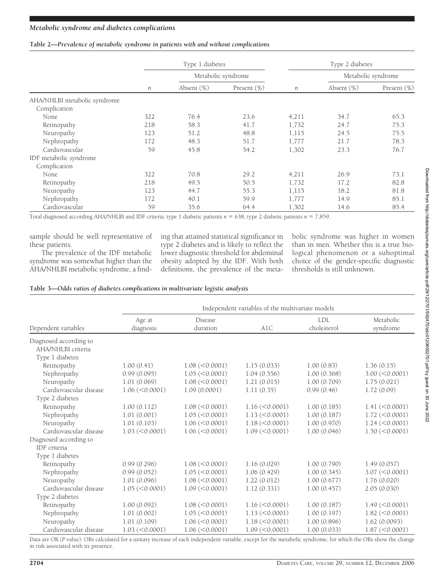#### **Table 2—***Prevalence of metabolic syndrome in patients with and without complications*

|                              | Type 1 diabetes  |                    |                | Type 2 diabetes |                    |                |
|------------------------------|------------------|--------------------|----------------|-----------------|--------------------|----------------|
|                              |                  | Metabolic syndrome |                |                 | Metabolic syndrome |                |
|                              | $\boldsymbol{n}$ | Absent $(\%)$      | Present $(\%)$ | п               | Absent $(\%)$      | Present $(\%)$ |
| AHA/NHLBI metabolic syndrome |                  |                    |                |                 |                    |                |
| Complication                 |                  |                    |                |                 |                    |                |
| None                         | 322              | 76.4               | 23.6           | 4,211           | 34.7               | 65.3           |
| Retinopathy                  | 218              | 58.3               | 41.7           | 1,732           | 24.7               | 75.3           |
| Neuropathy                   | 123              | 51.2               | 48.8           | 1,115           | 24.5               | 75.5           |
| Nephropathy                  | 172              | 48.3               | 51.7           | 1,777           | 21.7               | 78.3           |
| Cardiovascular               | 59               | 45.8               | 54.2           | 1,302           | 23.3               | 76.7           |
| IDF metabolic syndrome       |                  |                    |                |                 |                    |                |
| Complication                 |                  |                    |                |                 |                    |                |
| None                         | 322              | 70.8               | 29.2           | 4,211           | 26.9               | 73.1           |
| Retinopathy                  | 218              | 49.5               | 50.5           | 1,732           | 17.2               | 82.8           |
| Neuropathy                   | 123              | 44.7               | 55.3           | 1,115           | 18.2               | 81.8           |
| Nephropathy                  | 172              | 40.1               | 59.9           | 1,777           | 14.9               | 85.1           |
| Cardiovascular               | 59               | 35.6               | 64.4           | 1,302           | 14.6               | 85.4           |

Total diagnosed according AHA/NHLBI and IDF criteria: type 1 diabetic patients  $n = 638$ , type 2 diabetic patients  $n = 7,859$ .

sample should be well representative of these patients.

The prevalence of the IDF metabolic syndrome was somewhat higher than the AHA/NHLBI metabolic syndrome, a finding that attained statistical significance in type 2 diabetes and is likely to reflect the lower diagnostic threshold for abdominal obesity adopted by the IDF. With both definitions, the prevalence of the metabolic syndrome was higher in women than in men. Whether this is a true biological phenomenon or a suboptimal choice of the gender-specific diagnostic thresholds is still unknown.

| Table 3-Odds ratios of diabetes complications in multivariate logistic analysis |  |  |  |  |  |
|---------------------------------------------------------------------------------|--|--|--|--|--|
|---------------------------------------------------------------------------------|--|--|--|--|--|

|                                              | Independent variables of the multivariate models |                         |                         |                           |                                   |  |  |
|----------------------------------------------|--------------------------------------------------|-------------------------|-------------------------|---------------------------|-----------------------------------|--|--|
| Dependent variables                          | Age at<br>diagnosis                              | Disease<br>duration     | A1C                     | <b>LDL</b><br>cholesterol | Metabolic<br>syndrome             |  |  |
| Diagnosed according to<br>AHA/NHLBI criteria |                                                  |                         |                         |                           |                                   |  |  |
| Type 1 diabetes                              |                                                  |                         |                         |                           |                                   |  |  |
| Retinopathy                                  | 1.00(0.41)                                       | $1.08 \, (<0.0001)$     | 1.15(0.033)             | 1.00(0.83)                | 1.36(0.15)                        |  |  |
| Nephropathy                                  | 0.99(0.095)                                      | $1.05 \, (<0.0001)$     | 1.04(0.556)             | 1.00(0.368)               | $3.00 \, (< 0.0001)$              |  |  |
| Neuropathy                                   | 1.01(0.069)                                      | $1.08 \, (< 0.0001)$    | 1.21(0.015)             | 1.00(0.709)               | 1.75(0.021)                       |  |  |
| Cardiovascular disease                       | $1.06 \, (\leq 0.0001)$                          | 1.09(0.0001)            | 1.11(0.35)              | 0.99(0.46)                | 1.72(0.09)                        |  |  |
| Type 2 diabetes                              |                                                  |                         |                         |                           |                                   |  |  |
| Retinopathy                                  | 1.00(0.112)                                      | $1.08 \, (<0.0001)$     | $1.16 \, (< 0.0001)$    | 1.00(0.185)               | $1.41 (\leq 0.0001)$              |  |  |
| Nephropathy                                  | 1.01(0.001)                                      | $1.05 \, (< 0.0001)$    | $1.13 \, (< 0.0001)$    | 1.00(0.187)               | $1.72 \, (\leq 0.0001)$           |  |  |
| Neuropathy                                   | 1.01(0.103)                                      | $1.06 \, (\leq 0.0001)$ | $1.18 \, (\leq 0.0001)$ | 1.00(0.970)               | $1.24 \left( \leq 0.0001 \right)$ |  |  |
| Cardiovascular disease                       | $1.03 \, (<0.0001)$                              | $1.06 \, (< 0.0001)$    | $1.09 \, (< 0.0001)$    | 1.00(0.046)               | $1.50 \, (<0.0001)$               |  |  |
| Diagnosed according to                       |                                                  |                         |                         |                           |                                   |  |  |
| <b>IDF</b> criteria                          |                                                  |                         |                         |                           |                                   |  |  |
| Type 1 diabetes                              |                                                  |                         |                         |                           |                                   |  |  |
| Retinopathy                                  | 0.99(0.296)                                      | $1.08 \, (<0.0001)$     | 1.16(0.029)             | 1.00(0.790)               | 1.49(0.057)                       |  |  |
| Nephropathy                                  | 0.99(0.052)                                      | $1.05 \, (< 0.0001)$    | 1.06(0.429)             | 1.00(0.345)               | $3.07 \, (< 0.0001)$              |  |  |
| Neuropathy                                   | 1.01(0.096)                                      | $1.08 \, (< 0.0001)$    | 1.22(0.012)             | 1.00(0.677)               | 1.76(0.020)                       |  |  |
| Cardiovascular disease                       | $1.05 \, (< 0.0001)$                             | $1.09 \, (< 0.0001)$    | 1.12(0.331)             | 1.00(0.457)               | 2.05(0.030)                       |  |  |
| Type 2 diabetes                              |                                                  |                         |                         |                           |                                   |  |  |
| Retinopathy                                  | 1.00(0.092)                                      | $1.08 \, (<0.0001)$     | $1.16 \, (\leq 0.0001)$ | 1.00(0.187)               | $1.49 \left( \leq 0.0001 \right)$ |  |  |
| Nephropathy                                  | 1.01(0.002)                                      | $1.05 \, (< 0.0001)$    | $1.13 \, (< 0.0001)$    | 1.00(0.197)               | $1.82 \, (<0.0001)$               |  |  |
| Neuropathy                                   | 1.01(0.109)                                      | $1.06 \, (< 0.0001)$    | $1.18 \, (< 0.0001)$    | 1.00(0.896)               | 1.62(0.0093)                      |  |  |
| Cardiovascular disease                       | $1.03 \, (< 0.0001)$                             | $1.06 \, (< 0.0001)$    | $1.09 \, (< 0.0001)$    | 1.00(0.033)               | 1.87 (< 0.0001)                   |  |  |

Data are OR (P value). ORs calculated for a unitary increase of each independent variable, except for the metabolic syndrome, for which the ORs show the change in risk associated with its presence.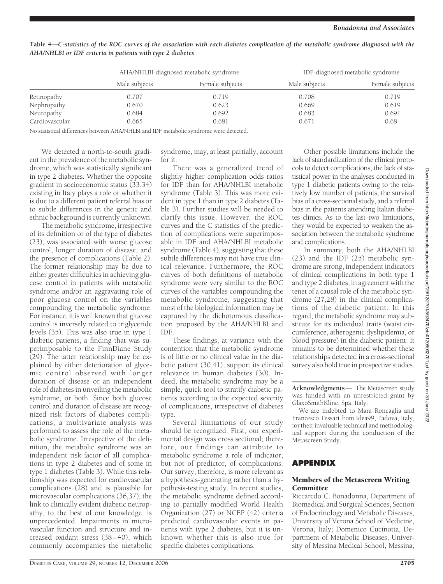|                | AHA/NHLBI-diagnosed metabolic syndrome |                 | IDF-diagnosed metabolic syndrome |                 |  |
|----------------|----------------------------------------|-----------------|----------------------------------|-----------------|--|
|                | Male subjects                          | Female subjects | Male subjects                    | Female subjects |  |
| Retinopathy    | 0.707                                  | 0.719           | 0.708                            | 0.719           |  |
| Nephropathy    | 0.670                                  | 0.623           | 0.669                            | 0.619           |  |
| Neuropathy     | 0.684                                  | 0.692           | 0.683                            | 0.691           |  |
| Cardiovascular | 0.665                                  | 0.681           | 0.671                            | 0.68            |  |

**Table 4—***C-statistics of the ROC curves of the association with each diabetes complication of the metabolic syndrome diagnosed with the AHA/NHLBI or IDF criteria in patients with type 2 diabetes*

No statistical differences between AHA/NHLBI and IDF metabolic syndrome were detected.

We detected a north-to-south gradient in the prevalence of the metabolic syndrome, which was statistically significant in type 2 diabetes. Whether the opposite gradient in socioeconomic status (33,34) existing in Italy plays a role or whether it is due to a different patient referral bias or to subtle differences in the genetic and ethnic background is currently unknown.

The metabolic syndrome, irrespective of its definition or of the type of diabetes (23), was associated with worse glucose control, longer duration of disease, and the presence of complications (Table 2). The former relationship may be due to either greater difficulties in achieving glucose control in patients with metabolic syndrome and/or an aggravating role of poor glucose control on the variables compounding the metabolic syndrome. For instance, it is well known that glucose control is inversely related to triglyceride levels (35). This was also true in type 1 diabetic patients, a finding that was superimposable to the FinnDiane Study (29). The latter relationship may be explained by either deterioration of glycemic control observed with longer duration of disease or an independent role of diabetes in unveiling the metabolic syndrome, or both. Since both glucose control and duration of disease are recognized risk factors of diabetes complications, a multivariate analysis was performed to assess the role of the metabolic syndrome. Irrespective of the definition, the metabolic syndrome was an independent risk factor of all complications in type 2 diabetes and of some in type 1 diabetes (Table 3). While this relationship was expected for cardiovascular complications (28) and is plausible for microvascular complications (36,37), the link to clinically evident diabetic neuropathy, to the best of our knowledge, is unprecedented. Impairments in microvascular function and structure and increased oxidant stress (38–40), which commonly accompanies the metabolic

syndrome, may, at least partially, account for it.

There was a generalized trend of slightly higher complication odds ratios for IDF than for AHA/NHLBI metabolic syndrome (Table 3). This was more evident in type 1 than in type 2 diabetes (Table 3). Further studies will be needed to clarify this issue. However, the ROC curves and the C statistics of the prediction of complications were superimposable in IDF and AHA/NHLBI metabolic syndrome (Table 4), suggesting that these subtle differences may not have true clinical relevance. Furthermore, the ROC curves of both definitions of metabolic syndrome were very similar to the ROC curves of the variables compounding the metabolic syndrome, suggesting that most of the biological information may be captured by the dichotomous classification proposed by the AHA/NHLBI and IDF.

These findings, at variance with the contention that the metabolic syndrome is of little or no clinical value in the diabetic patient (30,41), support its clinical relevance in human diabetes (30). Indeed, the metabolic syndrome may be a simple, quick tool to stratify diabetic patients according to the expected severity of complications, irrespective of diabetes type.

Several limitations of our study should be recognized. First, our experimental design was cross sectional; therefore, our findings can attribute to metabolic syndrome a role of indicator, but not of predictor, of complications. Our survey, therefore, is more relevant as a hypothesis-generating rather than a hypothesis-testing study. In recent studies, the metabolic syndrome defined according to partially modified World Health Organization (27) or NCEP (42) criteria predicted cardiovascular events in patients with type 2 diabetes, but it is unknown whether this is also true for specific diabetes complications.

Other possible limitations include the lack of standardization of the clinical protocols to detect complications, the lack of statistical power in the analyses conducted in type 1 diabetic patients owing to the relatively low number of patients, the survival bias of a cross-sectional study, and a referral bias in the patients attending Italian diabetes clinics. As to the last two limitations, they would be expected to weaken the association between the metabolic syndrome and complications.

In summary, both the AHA/NHLBI (23) and the IDF (25) metabolic syndrome are strong, independent indicators of clinical complications in both type 1 and type 2 diabetes, in agreement with the tenet of a causal role of the metabolic syndrome (27,28) in the clinical complications of the diabetic patient. In this regard, the metabolic syndrome may substitute for its individual traits (waist circumference, atherogenic dyslipidemia, or blood pressure) in the diabetic patient. It remains to be determined whether these relationships detected in a cross-sectional survey also hold true in prospective studies.

**Acknowledgments**— The Metascreen study was funded with an unrestricted grant by GlaxoSmithKline, Spa, Italy.

We are indebted to Mara Roncaglia and Francesco Tessari from Idea99, Padova, Italy, for their invaluable technical and methodological support during the conduction of the Metascreen Study.

# **APPENDIX**

### Members of the Metascreen Writing Committee

Riccarcdo C. Bonadonna, Department of Biomedical and Surgical Sciences, Section of Endocrinology and Metabolic Diseases, University of Verona School of Medicine, Verona, Italy; Domenico Cucinotta, Department of Metabolic Diseases, University of Messina Medical School, Messina,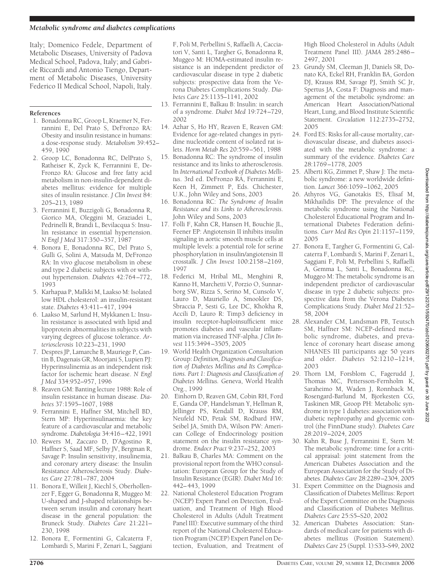Italy; Domenico Fedele, Department of Metabolic Diseases, University of Padova Medical School, Padova, Italy; and Gabriele Riccardi and Antonio Tiengo, Department of Metabolic Diseases, University Federico II Medical School, Napoli, Italy.

# **References**

- 1. Bonadonna RC, Groop L, Kraemer N, Ferrannini E, Del Prato S, DeFronzo RA: Obesity and insulin resistance in humans: a dose-response study. *Metabolism* 39:452– 459, 1990
- 2. Groop LC, Bonadonna RC, DelPrato S, Ratheiser K, Zyck K, Ferrannini E, De-Fronzo RA: Glucose and free fatty acid metabolism in non-insulin-dependent diabetes mellitus: evidence for multiple sites of insulin resistance. *J Clin Invest* 84: 205–213, 1989
- 3. Ferrannini E, Buzzigoli G, Bonadonna R, Giorico MA, Oleggini M, Graziadei L, Pedrinelli R, Brandi L, Bevilacqua S: Insulin resistance in essential hypertension. *N Engl J Med* 317:350–357, 1987
- 4. Bonora E, Bonadonna RC, Del Prato S, Gulli G, Solini A, Matsuda M, DeFronzo RA: In vivo glucose metabolism in obese and type 2 diabetic subjects with or without hypertension. *Diabetes* 42:764–772, 1993
- 5. Karhapaa P, Malkki M, Laakso M: Isolated low HDL cholesterol: an insulin-resistant state. *Diabetes* 43:411–417, 1994
- 6. Laakso M, Sarlund H, Mykkanen L: Insulin resistance is associated with lipid and lipoprotein abnormalities in subjects with varying degrees of glucose tolerance. *Arteriosclerosis* 10:223–231, 1990
- 7. Despres JP, Lamarche B, Mauriege P, Cantin B, Dagenais GR, Moorjani S, Lupien PJ: Hyperinsulinemia as an independent risk factor for ischemic heart disease. *N Engl J Med* 334:952–957, 1996
- 8. Reaven GM: Banting lecture 1988: Role of insulin resistance in human disease. *Diabetes* 37:1595–1607, 1988
- 9. Ferrannini E, Haffner SM, Mitchell BD, Stern MP: Hyperinsulinaemia: the key feature of a cardiovascular and metabolic syndrome. *Diabetologia* 34:416–422, 1991
- 10. Rewers M, Zaccaro D, D'Agostino R, Haffner S, Saad MF, Selby JV, Bergman R, Savage P: Insulin sensitivity, insulinemia, and coronary artery disease: the Insulin Resistance Atherosclerosis Study. *Diabetes Care* 27:781–787, 2004
- 11. Bonora E, Willeit J, Kiechl S, Oberhollenzer F, Egger G, Bonadonna R, Muggeo M: U-shaped and J-shaped relationships between serum insulin and coronary heart disease in the general population: the Bruneck Study. *Diabetes Care* 21:221– 230, 1998
- 12. Bonora E, Formentini G, Calcaterra F, Lombardi S, Marini F, Zenari L, Saggiani

F, Poli M, Perbellini S, Raffaelli A, Cacciatori V, Santi L, Targher G, Bonadonna R, Muggeo M: HOMA-estimated insulin resistance is an independent predictor of cardiovascular disease in type 2 diabetic subjects: prospective data from the Verona Diabetes Complications Study. *Diabetes Care* 25:1135–1141, 2002

- 13. Ferrannini E, Balkau B: Insulin: in search of a syndrome. *Diabet Med* 19:724–729, 2002
- 14. Azhar S, Ho HY, Reaven E, Reaven GM: Evidence for age-related changes in pyridine nucleotide content of isolated rat islets. *Horm Metab Res* 20:559–561, 1988
- 15. Bonadonna RC: The syndrome of insulin resistance and its links to atherosclerosis. In *International Textbook of Diabetes Mellitus*. 3rd ed. DeFronzo RA, Ferrannini E, Keen H, Zimmett P, Eds. Chichester, U.K., John Wiley and Sons, 2003
- 16. Bonadonna RC: *The Syndrome of Insulin Resistance and its Links to Atherosclerosis*. John Wiley and Sons, 2003
- 17. Folli F, Kahn CR, Hansen H, Bouchie JL, Feener EP: Angiotensin II inhibits insulin signaling in aortic smooth muscle cells at multiple levels: a potential role for serine phosphorylation in insulin/angiotensin II crosstalk. *J Clin Invest* 100:2158–2169, 1997
- 18. Federici M, Hribal ML, Menghini R, Kanno H, Marchetti V, Porzio O, Sunnarborg SW, Rizza S, Serino M, Cunsolo V, Lauro D, Mauriello A, Smookler DS, Sbraccia P, Sesti G, Lee DC, Khokha R, Accili D, Lauro R: Timp3 deficiency in insulin receptor-haploinsufficient mice promotes diabetes and vascular inflammation via increased TNF-alpha. *J Clin Invest* 115:3494–3505, 2005
- 19. World Health Organization Consultation Group: *Definition, Diagnosis and Classification of Diabetes Mellitus and Its Complications. Part 1: Diagnosis and Classification of Diabetes Mellitus.* Geneva, World Health Org., 1999
- 20. Einhorn D, Reaven GM, Cobin RH, Ford E, Ganda OP, Handelsman Y, Hellman R, Jellinger PS, Kendall D, Krauss RM, Neufeld ND, Petak SM, Rodbard HW, Seibel JA, Smith DA, Wilson PW: American College of Endocrinology position statement on the insulin resistance syndrome. *Endocr Pract* 9:237–252, 2003
- 21. Balkau B, Charles MA: Comment on the provisional report from the WHO consultation: European Group for the Study of Insulin Resistance (EGIR). *Diabet Med* 16: 442–443, 1999
- 22. National Cholesterol Education Program (NCEP) Expert Panel on Detection, Evaluation, and Treatment of High Blood Cholesterol in Adults (Adult Treatment Panel III): Executive summary of the third report of the National Cholesterol Education Program (NCEP) Expert Panel on Detection, Evaluation, and Treatment of

High Blood Cholesterol in Adults (Adult Treatment Panel III). *JAMA* 285:2486– 2497, 2001

- 23. Grundy SM, Cleeman JI, Daniels SR, Donato KA, Eckel RH, Franklin BA, Gordon DJ, Krauss RM, Savage PJ, Smith SC Jr, Spertus JA, Costa F: Diagnosis and management of the metabolic syndrome: an American Heart Association/National Heart, Lung, and Blood Institute Scientific Statement. *Circulation* 112:2735–2752, 2005
- 24. Ford ES: Risks for all-cause mortality, cardiovascular disease, and diabetes associated with the metabolic syndrome: a summary of the evidence. *Diabetes Care* 28:1769–1778, 2005
- 25. Alberti KG, Zimmet P, Shaw J: The metabolic syndrome: a new worldwide definition. *Lancet* 366:1059–1062, 2005
- 26. Athyros VG, Ganotakis ES, Elisaf M, Mikhailidis DP: The prevalence of the metabolic syndrome using the National Cholesterol Educational Program and International Diabetes Federation definitions. *Curr Med Res Opin* 21:1157–1159, 2005
- 27. Bonora E, Targher G, Formentini G, Calcaterra F, Lombardi S, Marini F, Zenari L, Saggiani F, Poli M, Perbellini S, Raffaelli A, Gemma L, Santi L, Bonadonna RC, Muggeo M: The metabolic syndrome is an independent predictor of cardiovascular disease in type 2 diabetic subjects: prospective data from the Verona Diabetes Complications Study. *Diabet Med* 21:52– 58, 2004
- 28. Alexander CM, Landsman PB, Teutsch SM, Haffner SM: NCEP-defined metabolic syndrome, diabetes, and prevalence of coronary heart disease among NHANES III participants age 50 years and older. *Diabetes* 52:1210–1214, 2003
- 29. Thorn LM, Forsblom C, Fagerudd J, Thomas MC, Pettersson-Fernholm K, Saraheimo M, Waden J, Ronnback M, Rosengard-Barlund M, Bjorkesten CG, Taskinen MR, Groop PH: Metabolic syndrome in type 1 diabetes: association with diabetic nephropathy and glycemic control (the FinnDiane study). *Diabetes Care* 28:2019–2024, 2005
- 30. Kahn R, Buse J, Ferrannini E, Stern M: The metabolic syndrome: time for a critical appraisal: joint statement from the American Diabetes Association and the European Association for the Study of Diabetes. *Diabetes Care* 28:2289–2304, 2005
- 31. Expert Committee on the Diagnosis and Classification of Diabetes Mellitus: Report of the Expert Committee on the Diagnosis and Classification of Diabetes Mellitus. *Diabetes Care* 25:S5–S20, 2002
- 32. American Diabetes Association: Standards of medical care for patients with diabetes mellitus (Position Statement). *Diabetes Care* 25 (Suppl. 1):S33–S49, 2002